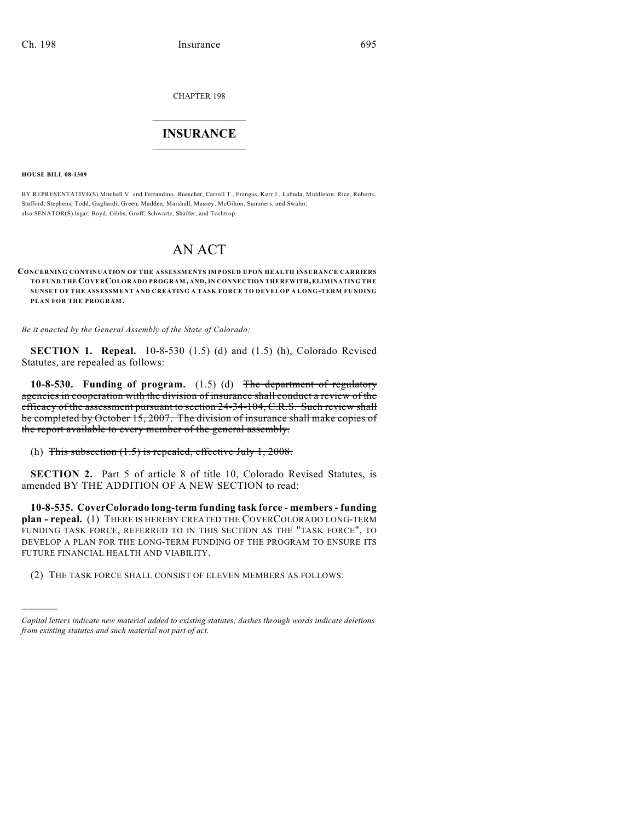CHAPTER 198

## $\mathcal{L}_\text{max}$  . The set of the set of the set of the set of the set of the set of the set of the set of the set of the set of the set of the set of the set of the set of the set of the set of the set of the set of the set **INSURANCE**  $\frac{1}{2}$  ,  $\frac{1}{2}$  ,  $\frac{1}{2}$  ,  $\frac{1}{2}$  ,  $\frac{1}{2}$  ,  $\frac{1}{2}$  ,  $\frac{1}{2}$

**HOUSE BILL 08-1309**

)))))

BY REPRESENTATIVE(S) Mitchell V. and Ferrandino, Buescher, Carroll T., Frangas, Kerr J., Labuda, Middleton, Rice, Roberts, Stafford, Stephens, Todd, Gagliardi, Green, Madden, Marshall, Massey, McGihon, Summers, and Swalm; also SENATOR(S) Isgar, Boyd, Gibbs, Groff, Schwartz, Shaffer, and Tochtrop.

## AN ACT

## **CONCERNING CONTINUATION OF THE ASSESSMENTS IMPOSED UPON HEALTH INSURANCE CARRIERS TO FUND THE COVERCOLORADO PROGRAM, AND, IN CONNECTION THEREWITH, ELIMINATING THE SUNSET OF THE ASSESSMENT AND CREATING A TASK FORCE TO DEVELOP A LONG-TERM FUNDING PLAN FOR THE PROGRAM.**

*Be it enacted by the General Assembly of the State of Colorado:*

**SECTION 1. Repeal.** 10-8-530 (1.5) (d) and (1.5) (h), Colorado Revised Statutes, are repealed as follows:

**10-8-530. Funding of program.** (1.5) (d) The department of regulatory agencies in cooperation with the division of insurance shall conduct a review of the efficacy of the assessment pursuant to section 24-34-104, C.R.S. Such review shall be completed by October 15, 2007. The division of insurance shall make copies of the report available to every member of the general assembly.

## (h) This subsection  $(1.5)$  is repealed, effective July 1, 2008.

**SECTION 2.** Part 5 of article 8 of title 10, Colorado Revised Statutes, is amended BY THE ADDITION OF A NEW SECTION to read:

**10-8-535. CoverColorado long-term funding task force - members - funding plan - repeal.** (1) THERE IS HEREBY CREATED THE COVERCOLORADO LONG-TERM FUNDING TASK FORCE, REFERRED TO IN THIS SECTION AS THE "TASK FORCE", TO DEVELOP A PLAN FOR THE LONG-TERM FUNDING OF THE PROGRAM TO ENSURE ITS FUTURE FINANCIAL HEALTH AND VIABILITY.

(2) THE TASK FORCE SHALL CONSIST OF ELEVEN MEMBERS AS FOLLOWS:

*Capital letters indicate new material added to existing statutes; dashes through words indicate deletions from existing statutes and such material not part of act.*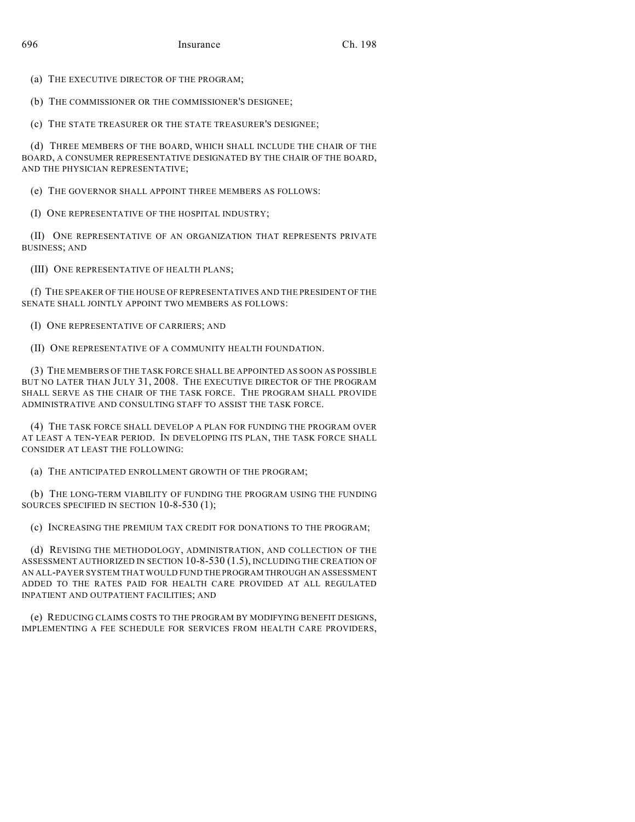(a) THE EXECUTIVE DIRECTOR OF THE PROGRAM;

(b) THE COMMISSIONER OR THE COMMISSIONER'S DESIGNEE;

(c) THE STATE TREASURER OR THE STATE TREASURER'S DESIGNEE;

(d) THREE MEMBERS OF THE BOARD, WHICH SHALL INCLUDE THE CHAIR OF THE BOARD, A CONSUMER REPRESENTATIVE DESIGNATED BY THE CHAIR OF THE BOARD, AND THE PHYSICIAN REPRESENTATIVE;

(e) THE GOVERNOR SHALL APPOINT THREE MEMBERS AS FOLLOWS:

(I) ONE REPRESENTATIVE OF THE HOSPITAL INDUSTRY;

(II) ONE REPRESENTATIVE OF AN ORGANIZATION THAT REPRESENTS PRIVATE BUSINESS; AND

(III) ONE REPRESENTATIVE OF HEALTH PLANS;

(f) THE SPEAKER OF THE HOUSE OF REPRESENTATIVES AND THE PRESIDENT OF THE SENATE SHALL JOINTLY APPOINT TWO MEMBERS AS FOLLOWS:

(I) ONE REPRESENTATIVE OF CARRIERS; AND

(II) ONE REPRESENTATIVE OF A COMMUNITY HEALTH FOUNDATION.

(3) THE MEMBERS OF THE TASK FORCE SHALL BE APPOINTED AS SOON AS POSSIBLE BUT NO LATER THAN JULY 31, 2008. THE EXECUTIVE DIRECTOR OF THE PROGRAM SHALL SERVE AS THE CHAIR OF THE TASK FORCE. THE PROGRAM SHALL PROVIDE ADMINISTRATIVE AND CONSULTING STAFF TO ASSIST THE TASK FORCE.

(4) THE TASK FORCE SHALL DEVELOP A PLAN FOR FUNDING THE PROGRAM OVER AT LEAST A TEN-YEAR PERIOD. IN DEVELOPING ITS PLAN, THE TASK FORCE SHALL CONSIDER AT LEAST THE FOLLOWING:

(a) THE ANTICIPATED ENROLLMENT GROWTH OF THE PROGRAM;

(b) THE LONG-TERM VIABILITY OF FUNDING THE PROGRAM USING THE FUNDING SOURCES SPECIFIED IN SECTION 10-8-530 (1);

(c) INCREASING THE PREMIUM TAX CREDIT FOR DONATIONS TO THE PROGRAM;

(d) REVISING THE METHODOLOGY, ADMINISTRATION, AND COLLECTION OF THE ASSESSMENT AUTHORIZED IN SECTION 10-8-530 (1.5), INCLUDING THE CREATION OF AN ALL-PAYER SYSTEM THAT WOULD FUND THE PROGRAM THROUGH AN ASSESSMENT ADDED TO THE RATES PAID FOR HEALTH CARE PROVIDED AT ALL REGULATED INPATIENT AND OUTPATIENT FACILITIES; AND

(e) REDUCING CLAIMS COSTS TO THE PROGRAM BY MODIFYING BENEFIT DESIGNS, IMPLEMENTING A FEE SCHEDULE FOR SERVICES FROM HEALTH CARE PROVIDERS,